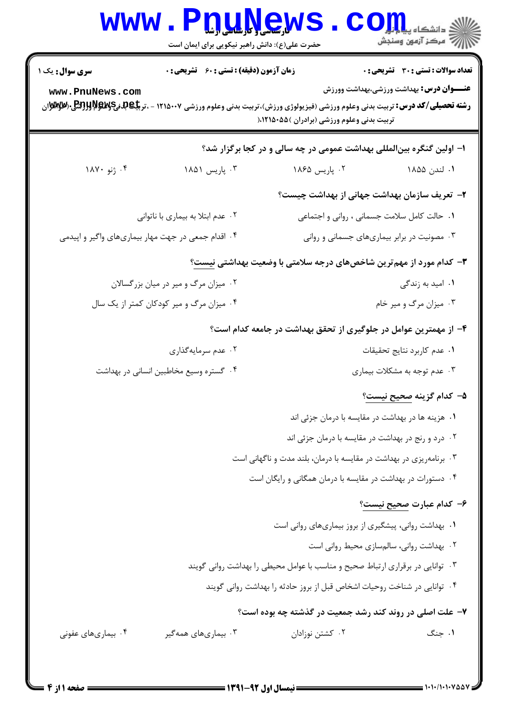| <b>WWW</b>                                         | حضرت علی(ع): دانش راهبر نیکویی برای ایمان است      | <u>n,u.y.ew</u>                                                                                                                                                                                             | ن دانشگاه پ <b>یا ب<sup>ا</sup> تو</b><br>ب " مرڪز آزمون وسنڊش |
|----------------------------------------------------|----------------------------------------------------|-------------------------------------------------------------------------------------------------------------------------------------------------------------------------------------------------------------|----------------------------------------------------------------|
| <b>سری سوال :</b> یک ۱                             | <b>زمان آزمون (دقیقه) : تستی : 60 ٪ تشریحی : 0</b> |                                                                                                                                                                                                             | تعداد سوالات : تستي : 30 ٪ تشريحي : 0                          |
| www.PnuNews.com                                    |                                                    | <b>رشته تحصیلی/کد درس:</b> تربیت بدنی وعلوم ورزشی (فیزیولوژی ورزش)،تربیت بدنی وعلوم ورزشی ۱۲۱۵۰۰۷ - ،تر <b>بیگابهنیگهلابال<sup>6</sup>ینگه</b> ر/یکی بهکلهاز<br>تربیت بدنی وعلوم ورزشی (برادران )۱۲۱۵۰۵۵۵ ( | <b>عنـــوان درس:</b> بهداشت ورزشی،بهداشت وورزش                 |
|                                                    |                                                    | ا– اولین گنگره بین لمللی بهداشت عمومی در چه سالی و در کجا برگزار شد؟                                                                                                                                        |                                                                |
| ۰۴ ژنو ۱۸۷۰                                        | ۰۳ پاریس ۱۸۵۱                                      | ۰۲ پاریس ۱۸۶۵                                                                                                                                                                                               | ۰۱ لندن ۱۸۵۵                                                   |
|                                                    |                                                    | ۲– تعریف سازمان بهداشت جهانی از بهداشت چیست؟                                                                                                                                                                |                                                                |
|                                                    | ۰۲ عدم ابتلا به بیماری با ناتوانی                  |                                                                                                                                                                                                             | ٠١. حالت كامل سلامت جسماني ، رواني و اجتماعي                   |
| ۰۴ اقدام جمعی در جهت مهار بیماریهای واگیر و اپیدمی |                                                    |                                                                                                                                                                                                             | ۰۳ مصونیت در برابر بیماریهای جسمانی و روانی                    |
|                                                    |                                                    | ۳- کدام مورد از مهم <b>ترین شاخصهای درجه سلامتی با وضعیت بهداشت</b> ی نیست؟                                                                                                                                 |                                                                |
|                                                    | ۰۲ میزان مرگ و میر در میان بزرگسالان               |                                                                                                                                                                                                             | ۰۱ امید به زندگی                                               |
| ۰۴ میزان مرگ و میر کودکان کمتر از یک سال           |                                                    |                                                                                                                                                                                                             | ۰۳ میزان مرگ و میر خام                                         |
|                                                    |                                                    | ۴- از مهمترین عوامل در جلوگیری از تحقق بهداشت در جامعه کدام است؟                                                                                                                                            |                                                                |
|                                                    | ۰۲ عدم سرمایهگذاری                                 |                                                                                                                                                                                                             | ٠١ عدم كاربرد نتايج تحقيقات                                    |
|                                                    | ۰۴ گستره وسیع مخاطبین انسانی در بهداشت             |                                                                                                                                                                                                             | ۰۳ عدم توجه به مشکلات بیماری                                   |
|                                                    |                                                    |                                                                                                                                                                                                             | ۵– کدام گزینه <u>صحیح نیست</u> ؟                               |
|                                                    |                                                    |                                                                                                                                                                                                             | ۰۱ هزینه ها در بهداشت در مقایسه با درمان جزئی اند              |
|                                                    |                                                    | ۰۲ درد و رنج در بهداشت در مقایسه با درمان جزئی اند                                                                                                                                                          |                                                                |
|                                                    |                                                    | ۰۳ برنامهریزی در بهداشت در مقایسه با درمان، بلند مدت و ناگهانی است                                                                                                                                          |                                                                |
|                                                    |                                                    | ۰۴ دستورات در بهداشت در مقایسه با درمان همگانی و رایگان است                                                                                                                                                 |                                                                |
|                                                    |                                                    |                                                                                                                                                                                                             | ۶– کدام عبارت <u>صحیح نیست</u> ؟                               |
|                                                    |                                                    | ٠١. بهداشت رواني، پيشگيري از بروز بيماريهاي رواني است                                                                                                                                                       |                                                                |
|                                                    |                                                    |                                                                                                                                                                                                             | ٠٢ بهداشت رواني، سالمسازي محيط رواني است                       |
|                                                    |                                                    | ۰۳ توانایی در برقراری ارتباط صحیح و مناسب با عوامل محیطی را بهداشت روانی گویند                                                                                                                              |                                                                |
|                                                    |                                                    | ۰۴ توانایی در شناخت روحیات اشخاص قبل از بروز حادثه را بهداشت روانی گویند                                                                                                                                    |                                                                |
|                                                    |                                                    | ۷- علت اصلی در روند کند رشد جمعیت در گذشته چه بوده است؟                                                                                                                                                     |                                                                |
| ۰۴ بیماریهای عفونی                                 | ۰۳ بیماریهای همهگیر                                | ۰۲ کشتن نوزادان                                                                                                                                                                                             | ۰۱ جنگ                                                         |
|                                                    |                                                    |                                                                                                                                                                                                             |                                                                |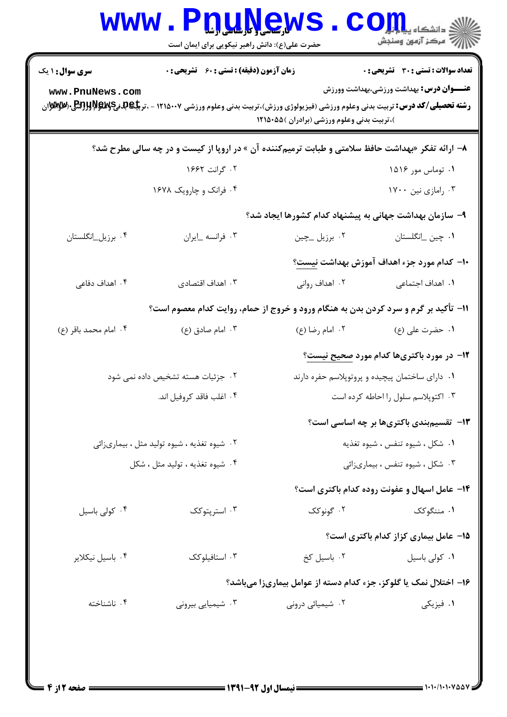|                                                                                      | www.PnuNew<br>حضرت علی(ع): دانش راهبر نیکویی برای ایمان است                                                                                                                                                 |                                                                  | COILL<br>أأزأته مركز آزمون وسنجش                                                               |
|--------------------------------------------------------------------------------------|-------------------------------------------------------------------------------------------------------------------------------------------------------------------------------------------------------------|------------------------------------------------------------------|------------------------------------------------------------------------------------------------|
| <b>سری سوال :</b> ۱ یک<br>www.PnuNews.com                                            | <b>زمان آزمون (دقیقه) : تستی : 60 ٪ تشریحی : 0</b><br><b>رشته تحصیلی/کد درس:</b> تربیت بدنی وعلوم ورزشی (فیزیولوژی ورزش)،تربیت بدنی وعلوم ورزشی ۱۲۱۵۰۰۷ - ،تر <b>یلی لپهپهپرابولې</b> پر(B <b>ryy) دریل</b> | )،تربیت بدنی وعلوم ورزشی (برادران )۱۲۱۵۰۵۵                       | <b>تعداد سوالات : تستی : 30 ٪ تشریحی : 0</b><br><b>عنـــوان درس:</b> بهداشت ورزشی،بهداشت وورزش |
|                                                                                      | ۸– ارائه تفکر «بهداشت حافظ سلامتی و طبابت ترمیمکننده آن » در اروپا از کیست و در چه سالی مطرح شد؟                                                                                                            |                                                                  |                                                                                                |
|                                                                                      | ۰۲ گرانت ۱۶۶۲                                                                                                                                                                                               |                                                                  | ۰۱ توماس مور ۱۵۱۶                                                                              |
|                                                                                      | ۰۴ فرانک و چارویک ۱۶۷۸                                                                                                                                                                                      |                                                                  | ۰۳ رامازي نين ۱۷۰۰                                                                             |
| ۹– سازمان بهداشت جهانی به پیشنهاد کدام کشورها ایجاد شد؟                              |                                                                                                                                                                                                             |                                                                  |                                                                                                |
| ۰۴ برزیل_انگلستان                                                                    | ٠٣ فرانسه _ايران                                                                                                                                                                                            |                                                                  |                                                                                                |
|                                                                                      |                                                                                                                                                                                                             |                                                                  | +ا– كدام مورد جزء اهداف آموزش بهداشت <u>نيست</u> ؟                                             |
| ۰۴ اهداف دفاعی                                                                       | ۰۳ اهداف اقتصادی                                                                                                                                                                                            | ۰۲ اهداف روانی                                                   | <b>۱</b> . اهداف اجتماعی                                                                       |
| 11- تأکید بر گرم و سرد کردن بدن به هنگام ورود و خروج از حمام، روایت کدام معصوم است؟  |                                                                                                                                                                                                             |                                                                  |                                                                                                |
| ۰۴ امام محمد باقر (ع)                                                                | ۰۳ امام صادق (ع)                                                                                                                                                                                            | ۰۲ امام رضا (ع)                                                  | ۰۱ حضرت على (ع)                                                                                |
|                                                                                      |                                                                                                                                                                                                             |                                                                  | <b>۱۲</b> - در مورد باکتریها کدام مورد صحیح نیست؟                                              |
| ۰۲ جزئیات هسته تشخیص داده نمی شود<br>۰۱ دارای ساختمان پیچیده و پروتوپلاسم حفره دارند |                                                                                                                                                                                                             |                                                                  |                                                                                                |
|                                                                                      | ۰۴ اغلب فاقد كروفيل اند.                                                                                                                                                                                    |                                                                  | ۰۳ اکتوپلاسم سلول را احاطه کرده است                                                            |
|                                                                                      |                                                                                                                                                                                                             |                                                                  | ۱۳- تقسیم بندی باکتریها بر چه اساسی است؟                                                       |
|                                                                                      | ۰۲ شیوه تغذیه ، شیوه تولید مثل ، بیماریزائی                                                                                                                                                                 |                                                                  | ۰۱ شکل ، شیوه تنفس ، شیوه تغذیه                                                                |
|                                                                                      | ۰۴ شیوه تغذیه ، تولید مثل ، شکل                                                                                                                                                                             |                                                                  | ۰۳ شکل ، شیوه تنفس ، بیماریزائی                                                                |
|                                                                                      |                                                                                                                                                                                                             |                                                                  | ۰۱۴ عامل اسهال و عفونت روده کدام باکتری است؟                                                   |
| ۰۴ کولی باسیل                                                                        | ۰۳ استریتوکک                                                                                                                                                                                                | ۰۲ گونوکک                                                        | ۰۱ مننگوکک                                                                                     |
|                                                                                      |                                                                                                                                                                                                             |                                                                  | 15- عامل بیماری کزاز کدام باکتری است؟                                                          |
| ۰۴ باسیل نیکلایر                                                                     | ۰۳ استافیلوکک                                                                                                                                                                                               | ۰۲ باسیل کخ                                                      | ٠١ كولى باسيل                                                                                  |
|                                                                                      |                                                                                                                                                                                                             | ۱۶– اختلال نمک یا گلوکز، جزء کدام دسته از عوامل بیماریزا میباشد؟ |                                                                                                |
| ۰۴ ناشناخته                                                                          | ۰۳ شیمیایی بیرونی                                                                                                                                                                                           | ۰۲ شیمیائی درونی                                                 | ١. فيزيكي                                                                                      |
|                                                                                      |                                                                                                                                                                                                             |                                                                  |                                                                                                |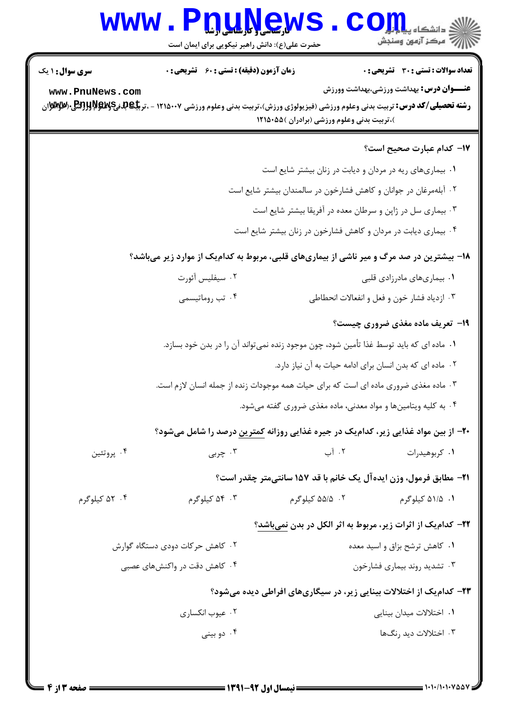## Www.PnuNews.Com

حضرت علی(ع): دانش راهبر نیکویی برای ایمان است

| <b>سری سوال : ۱ یک</b> | زمان آزمون (دقیقه) : تستی : 60 ٪ تشریحی : 0                                                                                                        |                                                                             | <b>تعداد سوالات : تستي : 30 ٪ تشريحي : 0</b>   |
|------------------------|----------------------------------------------------------------------------------------------------------------------------------------------------|-----------------------------------------------------------------------------|------------------------------------------------|
| www.PnuNews.com        |                                                                                                                                                    |                                                                             | <b>عنـــوان درس:</b> بهداشت ورزشی،بهداشت وورزش |
|                        | <b>رشته تحصیلی/کد درس:</b> تربیت بدنی وعلوم ورزشی (فیزیولوژی ورزش)،تربیت بدنی وعلوم ورزشی ۱۲۱۵۰۰۷ - ،تر <b>بیگیبهپهپهپهپرالولوژی</b> ( <b>کیله</b> |                                                                             |                                                |
|                        |                                                                                                                                                    | )،تربیت بدنی وعلوم ورزشی (برادران )۵۵۰۵۵                                    |                                                |
|                        |                                                                                                                                                    |                                                                             | ۱۷– کدام عبارت صحیح است؟                       |
|                        |                                                                                                                                                    | ۰۱ بیماریهای ریه در مردان و دیابت در زنان بیشتر شایع است                    |                                                |
|                        |                                                                                                                                                    | ۰۲ آبلهمرغان در جوانان و کاهش فشارخون در سالمندان بیشتر شایع است            |                                                |
|                        |                                                                                                                                                    | ۰۳ بیماری سل در ژاپن و سرطان معده در آفریقا بیشتر شایع است                  |                                                |
|                        |                                                                                                                                                    | ۰۴ بیماری دیابت در مردان و کاهش فشارخون در زنان بیشتر شایع است              |                                                |
|                        | ۱۸- بیشترین در صد مرگ و میر ناشی از بیماریهای قلبی، مربوط به کدامیک از موارد زیر میباشد؟                                                           |                                                                             |                                                |
|                        | ۰۲ سیفلیس آئورت                                                                                                                                    |                                                                             | ۰۱ بیماریهای مادرزادی قلبی                     |
|                        | ۰۴ تب روماتیسمی                                                                                                                                    | ۰۳ ازدیاد فشار خون و فعل و انفعالات انحطاطی                                 |                                                |
|                        |                                                                                                                                                    |                                                                             | <b>۱۹</b> - تعریف ماده مغذی ضروری چیست؟        |
|                        | ۰۱ ماده ای که باید توسط غذا تأمین شود، چون موجود زنده نمیتواند آن را در بدن خود بسازد.                                                             |                                                                             |                                                |
|                        |                                                                                                                                                    | ٠٢ ماده اي كه بدن انسان براي ادامه حيات به آن نياز دارد.                    |                                                |
|                        | ۰۳ ماده مغذی ضروری ماده ای است که برای حیات همه موجودات زنده از جمله انسان لازم است.                                                               |                                                                             |                                                |
|                        |                                                                                                                                                    | ۰۴ به کلیه ویتامینها و مواد معدنی، ماده مغذی ضروری گفته میشود.              |                                                |
|                        | <b>۳۰</b> - از بین مواد غذایی زیر، کدام <b>یک در جیره غذایی روزانه <u>کمترین</u> درصد را شامل</b> میشود؟                                           |                                                                             |                                                |
| ۰۴ پروتئين             | ۰۳ چربی                                                                                                                                            | ۰۲ آب                                                                       | ۰۱ کربوهیدرات                                  |
|                        |                                                                                                                                                    | <b>٢١</b> - مطابق فرمول، وزن ايده آل يک خانم با قد ١٥٧ سانتي متر چقدر است؟  |                                                |
| ۰۴ کیلوگرم             | ۰۳ کیلوگرم                                                                                                                                         | ۰۲ ۵۵/۵ کیلوگرم                                                             | ۰۱ ۵۱/۵ کیلوگرم                                |
|                        |                                                                                                                                                    | <b>۲۲- کدام یک از اثرات زیر، مربوط به اثر الکل در بدن نمیباشد؟</b>          |                                                |
|                        | ۰۲ کاهش حرکات دودی دستگاه گوارش                                                                                                                    |                                                                             | ۰۱ کاهش ترشح بزاق و اسید معده                  |
|                        | ۰۴ کاهش دقت در واکنشهای عصبی                                                                                                                       |                                                                             | ۰۳ تشدید روند بیماری فشارخون                   |
|                        |                                                                                                                                                    | <b>۲۳</b> - کدام یک از اختلالات بینایی زیر، در سیگاریهای افراطی دیده میشود؟ |                                                |
|                        | ۰۲ عیوب انکساری                                                                                                                                    |                                                                             | ۰۱ اختلالات میدان بینایی                       |
|                        | ۰۴ دو بينې                                                                                                                                         |                                                                             | ۰۳ اختلالات دید <sub>ر</sub> نگ ها             |
|                        |                                                                                                                                                    |                                                                             |                                                |
|                        |                                                                                                                                                    |                                                                             |                                                |